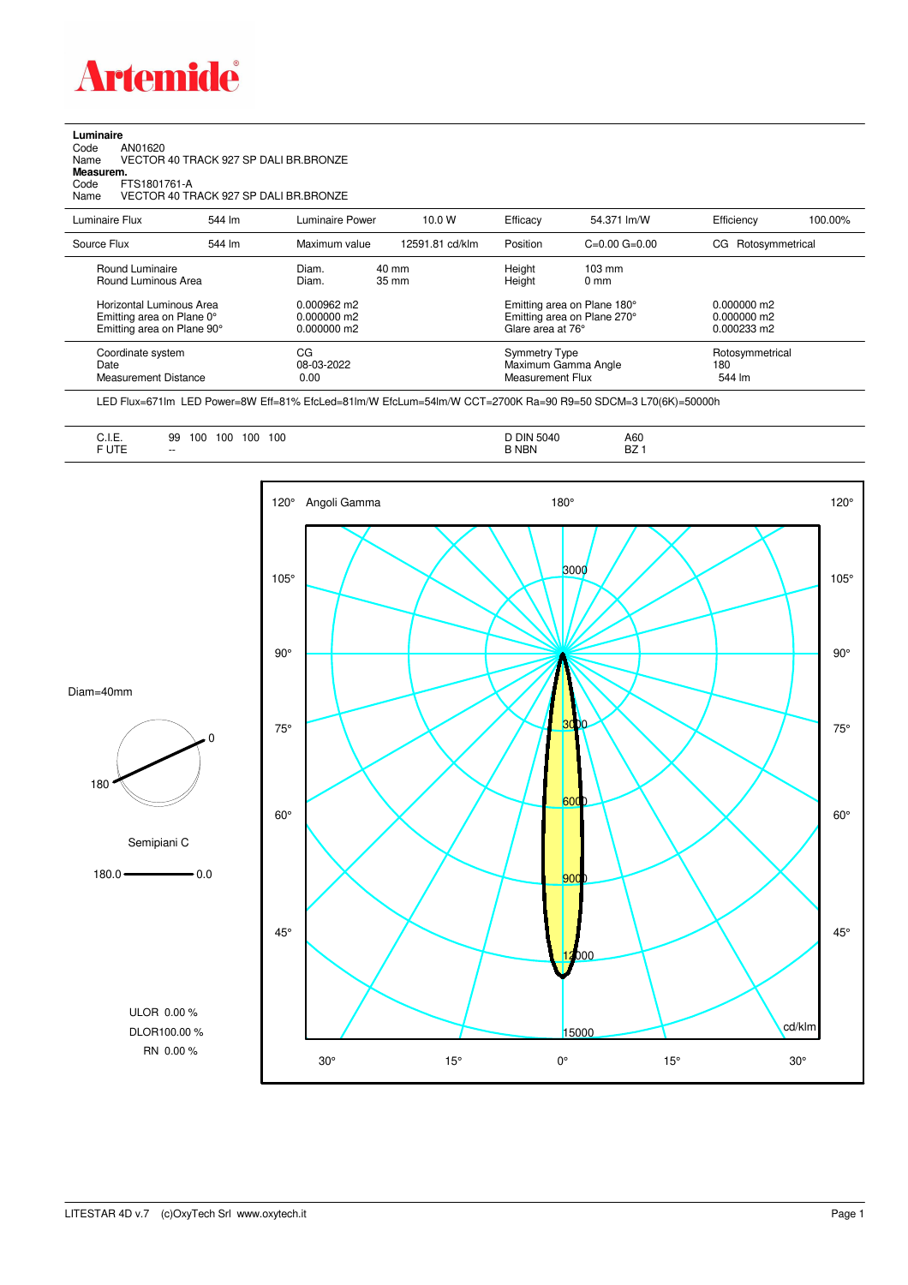

**Luminaire**<br>Code<br>Name Code AN01620 Name VECTOR 40 TRACK 927 SP DALI BR.BRONZE

**Measurem.**

Code FTS1801761-A Name VECTOR 40 TRACK 927 SP DALI BR.BRONZE

| Luminaire Flux                                                                                                                | 544 lm | Luminaire Power                                                          | 10.0 W                   | Efficacy | 54.371 lm/W                                                                                                                               | Efficiency                       | 100.00% |
|-------------------------------------------------------------------------------------------------------------------------------|--------|--------------------------------------------------------------------------|--------------------------|----------|-------------------------------------------------------------------------------------------------------------------------------------------|----------------------------------|---------|
| Source Flux                                                                                                                   | 544 lm | Maximum value                                                            | 12591.81 cd/klm          | Position | $C=0.00$ $G=0.00$                                                                                                                         | Rotosymmetrical<br>CG            |         |
| Round Luminaire<br>Round Luminous Area<br>Horizontal Luminous Area<br>Emitting area on Plane 0°<br>Emitting area on Plane 90° |        | Diam.<br>Diam.<br>$0.000962 \text{ m}$<br>$0.000000$ m2<br>$0.000000$ m2 | 40 mm<br>$35 \text{ mm}$ |          | Height<br>$103 \text{ mm}$<br>Height<br>$0 \text{ mm}$<br>Emitting area on Plane 180°<br>Emitting area on Plane 270°<br>Glare area at 76° |                                  |         |
| Coordinate system<br>Date<br><b>Measurement Distance</b>                                                                      |        | CG<br>08-03-2022<br>0.00                                                 |                          |          | <b>Symmetry Type</b><br>Maximum Gamma Angle<br>Measurement Flux                                                                           | Rotosymmetrical<br>180<br>544 lm |         |

LED Flux=671lm LED Power=8W Eff=81% EfcLed=81lm/W EfcLum=54lm/W CCT=2700K Ra=90 R9=50 SDCM=3 L70(6K)=50000h